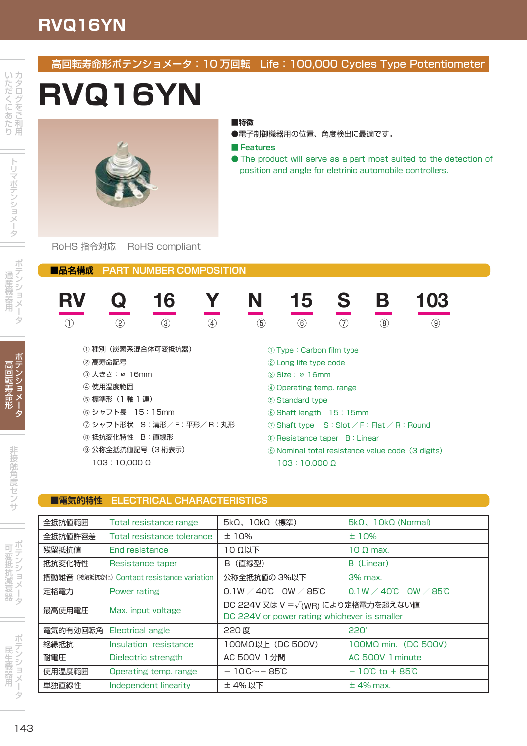# **RVQ16YN**

## 高回転寿命形ポテンショメータ:10 万回転 Life:100,000 Cycles Type Potentiometer **RVQ16YN RV Q 16 Y N 15 S B 103 ■品名構成 PART NUMBER COMPOSITION** ① ② ③ ④ ⑤ ⑥ ⑦ ⑧ ⑨ ① 種別(炭素系混合体可変抵抗器) ② 高寿命記号 ③ 大きさ:∅ 16mm ④ 使用温度範囲 ⑤ 標準形(1 軸 1 連) ⑥ シャフト長 15:15mm ⑦ シャフト形状 S:溝形/ F:平形/ R:丸形 ⑧ 抵抗変化特性 B:直線形 ⑨ 公称全抵抗値記号(3 桁表示) 103:10,000 Ω ① Type:Carbon film type ② Long life type code ③ Size:∅ 16mm ④ Operating temp. range ⑤ Standard type ⑥ Shaft length 15:15mm ⑦ Shaft type S:Slot / F:Flat / R:Round ⑧ Resistance taper B:Linear ⑨ Nominal total resistance value code(3 digits) 103:10,000 Ω RoHS 指令対応 RoHS compliant **■特徴** ●電子制御機器用の位置、角度検出に最適です。 **■ Features** ● The product will serve as a part most suited to the detection of position and angle for eletrinic automobile controllers.

### **■電気的特性 ELECTRICAL CHARACTERISTICS**

| 全抵抗値範囲                                     | Total resistance range     | 5kΩ、10kΩ(標準)                                                                                      | $5k\Omega$ , $10k\Omega$ (Normal)                   |
|--------------------------------------------|----------------------------|---------------------------------------------------------------------------------------------------|-----------------------------------------------------|
| 全抵抗値許容差                                    | Total resistance tolerance | ±10%                                                                                              | ±10%                                                |
| 残留抵抗值                                      | <b>End resistance</b>      | $10$ Ω $\mu$ Τ                                                                                    | $10 \Omega$ max.                                    |
| 抵抗変化特性                                     | Resistance taper           | (直線型)<br>B                                                                                        | B (Linear)                                          |
| 摺動雑音 (接触抵抗変化) Contact resistance variation |                            | 公称全抵抗値の 3%以下                                                                                      | $3%$ max.                                           |
| 定格電力                                       | Power rating               | $0.1W \angle 40^{\circ}$ C OW $\angle 85^{\circ}$ C                                               | $0.1W \angle 40^{\circ}$ C OW $\angle 85^{\circ}$ C |
| 最高使用電圧                                     | Max. input voltage         | DC 224V 又は V = $\sqrt{\text{(WR)}}$ により定格電力を超えない値<br>DC 224V or power rating whichever is smaller |                                                     |
| 電気的有効回転角                                   | Electrical angle           | 220 度                                                                                             | 220°                                                |
| 絶縁抵抗                                       | Insulation resistance      | $100M\Omega$ l (DC 500V)                                                                          | $100M\Omega$ min. (DC 500V)                         |
| 耐電圧                                        | Dielectric strength        | AC 500V 1分間                                                                                       | AC 500V 1 minute                                    |
| 使用温度範囲                                     | Operating temp. range      | $-10^{\circ}\text{C} \sim +85^{\circ}\text{C}$                                                    | $-10^{\circ}$ C to $+85^{\circ}$ C                  |
| 単独直線性                                      | Independent linearity      | ± 4% 以下                                                                                           | $\pm$ 4% max.                                       |

民 機 機 器 用

ポ シン ン ミョ ョ u. クライ かんしゃ かんじゅん かんしゃ

接 接 触 度 度 セ ン

> とう シ ン しょうしょう はんしょう ョ メ 「夕

麥 変 抵 抗 減 衰

カ ËÒ ロ .<br>こを を

た た だ に に

ポ ミン ン ິ∃ ョ メ ータ

5 デ テ ン 目 .<br>メ メ ータ

高 転 転 寿 命

通 産 器 器 用